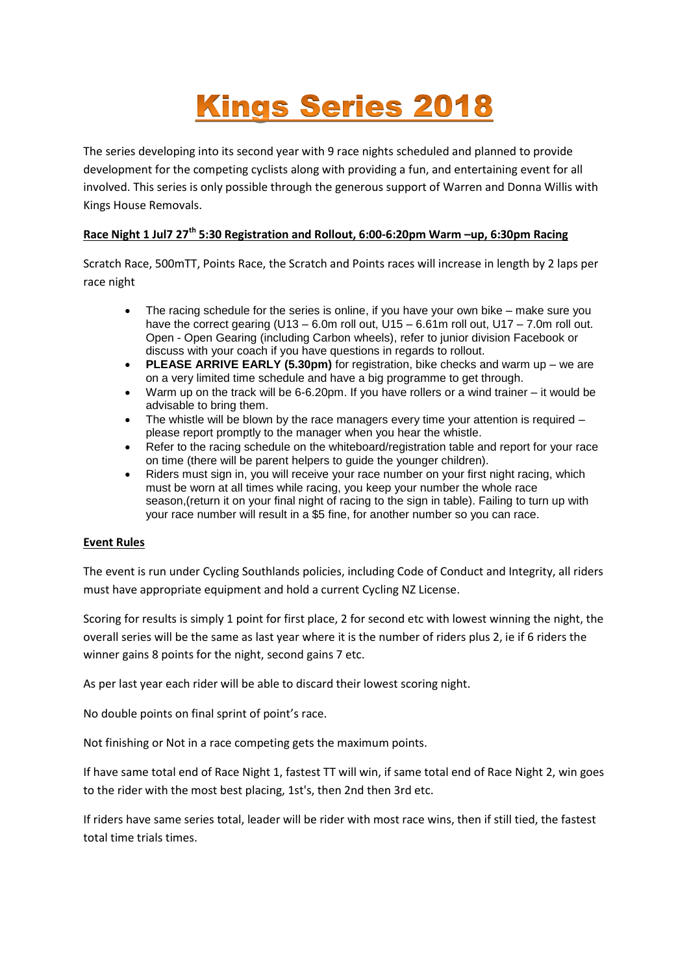## **Kings Series 2018**

The series developing into its second year with 9 race nights scheduled and planned to provide development for the competing cyclists along with providing a fun, and entertaining event for all involved. This series is only possible through the generous support of Warren and Donna Willis with Kings House Removals.

## **Race Night 1 Jul7 27th 5:30 Registration and Rollout, 6:00-6:20pm Warm –up, 6:30pm Racing**

Scratch Race, 500mTT, Points Race, the Scratch and Points races will increase in length by 2 laps per race night

- The racing schedule for the series is online, if you have your own bike make sure you have the correct gearing  $(U13 - 6.0m)$  roll out,  $U15 - 6.61m$  roll out,  $U17 - 7.0m$  roll out. Open - Open Gearing (including Carbon wheels), refer to junior division Facebook or discuss with your coach if you have questions in regards to rollout.
- **PLEASE ARRIVE EARLY (5.30pm)** for registration, bike checks and warm up we are on a very limited time schedule and have a big programme to get through.
- Warm up on the track will be 6-6.20pm. If you have rollers or a wind trainer it would be advisable to bring them.
- The whistle will be blown by the race managers every time your attention is required please report promptly to the manager when you hear the whistle.
- Refer to the racing schedule on the whiteboard/registration table and report for your race on time (there will be parent helpers to guide the younger children).
- Riders must sign in, you will receive your race number on your first night racing, which must be worn at all times while racing, you keep your number the whole race season, (return it on your final night of racing to the sign in table). Failing to turn up with your race number will result in a \$5 fine, for another number so you can race.

## **Event Rules**

The event is run under Cycling Southlands policies, including Code of Conduct and Integrity, all riders must have appropriate equipment and hold a current Cycling NZ License.

Scoring for results is simply 1 point for first place, 2 for second etc with lowest winning the night, the overall series will be the same as last year where it is the number of riders plus 2, ie if 6 riders the winner gains 8 points for the night, second gains 7 etc.

As per last year each rider will be able to discard their lowest scoring night.

No double points on final sprint of point's race.

Not finishing or Not in a race competing gets the maximum points.

If have same total end of Race Night 1, fastest TT will win, if same total end of Race Night 2, win goes to the rider with the most best placing, 1st's, then 2nd then 3rd etc.

If riders have same series total, leader will be rider with most race wins, then if still tied, the fastest total time trials times.